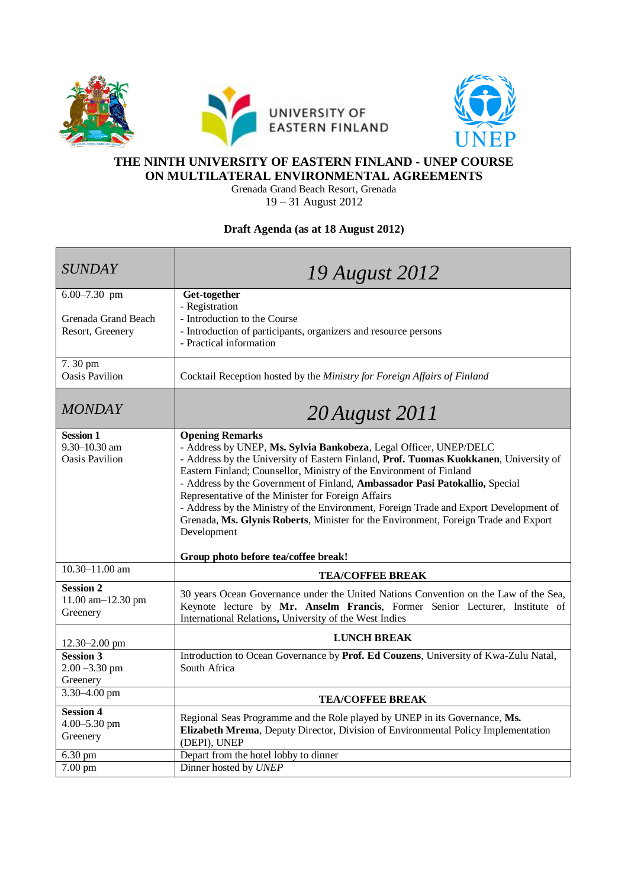



## **THE NINTH UNIVERSITY OF EASTERN FINLAND - UNEP COURSE ON MULTILATERAL ENVIRONMENTAL AGREEMENTS**

Grenada Grand Beach Resort, Grenada 19 – 31 August 2012

## **Draft Agenda (as at 18 August 2012)**

| <b>SUNDAY</b>                                              | 19 August 2012                                                                                                                                                                                                                                                                                                                                                                                                                                                                                                                                                                                                                          |
|------------------------------------------------------------|-----------------------------------------------------------------------------------------------------------------------------------------------------------------------------------------------------------------------------------------------------------------------------------------------------------------------------------------------------------------------------------------------------------------------------------------------------------------------------------------------------------------------------------------------------------------------------------------------------------------------------------------|
| $6.00 - 7.30$ pm                                           | Get-together<br>- Registration                                                                                                                                                                                                                                                                                                                                                                                                                                                                                                                                                                                                          |
| Grenada Grand Beach                                        | - Introduction to the Course                                                                                                                                                                                                                                                                                                                                                                                                                                                                                                                                                                                                            |
| Resort, Greenery                                           | - Introduction of participants, organizers and resource persons<br>- Practical information                                                                                                                                                                                                                                                                                                                                                                                                                                                                                                                                              |
| $7.30$ pm<br><b>Oasis Pavilion</b>                         | Cocktail Reception hosted by the Ministry for Foreign Affairs of Finland                                                                                                                                                                                                                                                                                                                                                                                                                                                                                                                                                                |
| <b>MONDAY</b>                                              | 20 August 2011                                                                                                                                                                                                                                                                                                                                                                                                                                                                                                                                                                                                                          |
| <b>Session 1</b><br>9.30-10.30 am<br><b>Oasis Pavilion</b> | <b>Opening Remarks</b><br>- Address by UNEP, Ms. Sylvia Bankobeza, Legal Officer, UNEP/DELC<br>- Address by the University of Eastern Finland, Prof. Tuomas Kuokkanen, University of<br>Eastern Finland; Counsellor, Ministry of the Environment of Finland<br>- Address by the Government of Finland, Ambassador Pasi Patokallio, Special<br>Representative of the Minister for Foreign Affairs<br>- Address by the Ministry of the Environment, Foreign Trade and Export Development of<br>Grenada, Ms. Glynis Roberts, Minister for the Environment, Foreign Trade and Export<br>Development<br>Group photo before tea/coffee break! |
| $10.30 - 11.00$ am                                         | <b>TEA/COFFEE BREAK</b>                                                                                                                                                                                                                                                                                                                                                                                                                                                                                                                                                                                                                 |
| <b>Session 2</b><br>11.00 am-12.30 pm<br>Greenery          | 30 years Ocean Governance under the United Nations Convention on the Law of the Sea,<br>Keynote lecture by Mr. Anselm Francis, Former Senior Lecturer, Institute of<br>International Relations, University of the West Indies                                                                                                                                                                                                                                                                                                                                                                                                           |
| 12.30-2.00 pm                                              | <b>LUNCH BREAK</b>                                                                                                                                                                                                                                                                                                                                                                                                                                                                                                                                                                                                                      |
| <b>Session 3</b><br>$2.00 - 3.30$ pm<br>Greenery           | Introduction to Ocean Governance by Prof. Ed Couzens, University of Kwa-Zulu Natal,<br>South Africa                                                                                                                                                                                                                                                                                                                                                                                                                                                                                                                                     |
| 3.30-4.00 pm                                               | <b>TEA/COFFEE BREAK</b>                                                                                                                                                                                                                                                                                                                                                                                                                                                                                                                                                                                                                 |
| <b>Session 4</b><br>4.00-5.30 pm<br>Greenery               | Regional Seas Programme and the Role played by UNEP in its Governance, Ms.<br>Elizabeth Mrema, Deputy Director, Division of Environmental Policy Implementation<br>(DEPI), UNEP                                                                                                                                                                                                                                                                                                                                                                                                                                                         |
| 6.30 pm                                                    | Depart from the hotel lobby to dinner                                                                                                                                                                                                                                                                                                                                                                                                                                                                                                                                                                                                   |
| 7.00 pm                                                    | Dinner hosted by UNEP                                                                                                                                                                                                                                                                                                                                                                                                                                                                                                                                                                                                                   |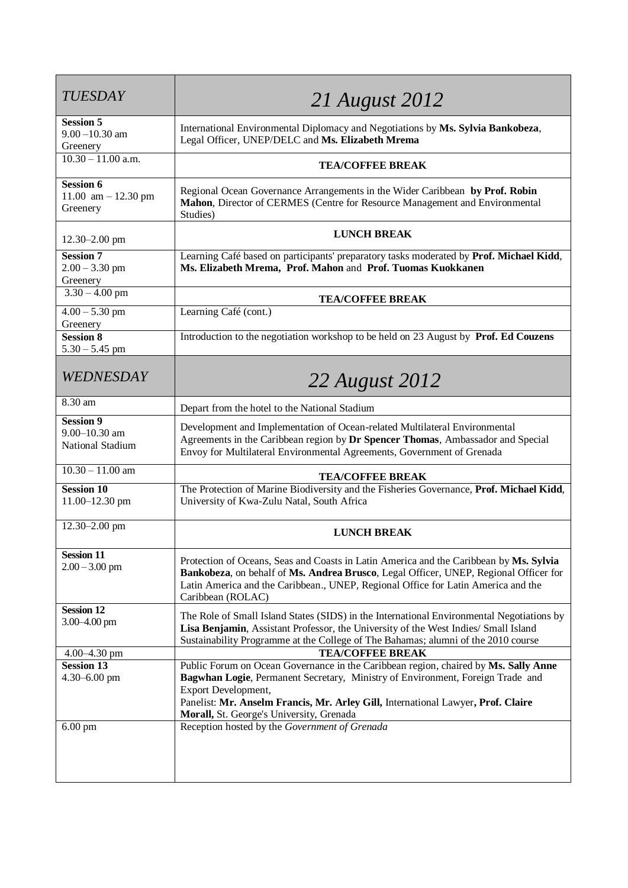| <b>TUESDAY</b>                                            | <b>21 August 2012</b>                                                                                                                                                                                                                                                                                                        |
|-----------------------------------------------------------|------------------------------------------------------------------------------------------------------------------------------------------------------------------------------------------------------------------------------------------------------------------------------------------------------------------------------|
| <b>Session 5</b><br>$9.00 - 10.30$ am<br>Greenery         | International Environmental Diplomacy and Negotiations by Ms. Sylvia Bankobeza,<br>Legal Officer, UNEP/DELC and Ms. Elizabeth Mrema                                                                                                                                                                                          |
| $10.30 - 11.00$ a.m.                                      | <b>TEA/COFFEE BREAK</b>                                                                                                                                                                                                                                                                                                      |
| <b>Session 6</b><br>11.00 $am - 12.30 pm$<br>Greenery     | Regional Ocean Governance Arrangements in the Wider Caribbean by Prof. Robin<br>Mahon, Director of CERMES (Centre for Resource Management and Environmental<br>Studies)                                                                                                                                                      |
| $12.30 - 2.00$ pm                                         | <b>LUNCH BREAK</b>                                                                                                                                                                                                                                                                                                           |
| <b>Session 7</b><br>$2.00 - 3.30$ pm<br>Greenery          | Learning Café based on participants' preparatory tasks moderated by Prof. Michael Kidd,<br>Ms. Elizabeth Mrema, Prof. Mahon and Prof. Tuomas Kuokkanen                                                                                                                                                                       |
| $3.30 - 4.00$ pm                                          | <b>TEA/COFFEE BREAK</b>                                                                                                                                                                                                                                                                                                      |
| $4.00 - 5.30$ pm<br>Greenery                              | Learning Café (cont.)                                                                                                                                                                                                                                                                                                        |
| <b>Session 8</b><br>$5.30 - 5.45$ pm                      | Introduction to the negotiation workshop to be held on 23 August by Prof. Ed Couzens                                                                                                                                                                                                                                         |
| WEDNESDAY                                                 | 22 August 2012                                                                                                                                                                                                                                                                                                               |
| 8.30 am                                                   | Depart from the hotel to the National Stadium                                                                                                                                                                                                                                                                                |
| <b>Session 9</b><br>$9.00 - 10.30$ am<br>National Stadium | Development and Implementation of Ocean-related Multilateral Environmental<br>Agreements in the Caribbean region by Dr Spencer Thomas, Ambassador and Special<br>Envoy for Multilateral Environmental Agreements, Government of Grenada                                                                                      |
| $10.30 - 11.00$ am                                        | <b>TEA/COFFEE BREAK</b>                                                                                                                                                                                                                                                                                                      |
| <b>Session 10</b><br>11.00-12.30 pm                       | The Protection of Marine Biodiversity and the Fisheries Governance, Prof. Michael Kidd,<br>University of Kwa-Zulu Natal, South Africa                                                                                                                                                                                        |
| $12.30 - 2.00$ pm                                         | <b>LUNCH BREAK</b>                                                                                                                                                                                                                                                                                                           |
| <b>Session 11</b><br>$2.00 - 3.00$ pm                     | Protection of Oceans, Seas and Coasts in Latin America and the Caribbean by Ms. Sylvia<br>Bankobeza, on behalf of Ms. Andrea Brusco, Legal Officer, UNEP, Regional Officer for<br>Latin America and the Caribbean., UNEP, Regional Office for Latin America and the<br>Caribbean (ROLAC)                                     |
| <b>Session 12</b><br>$3.00 - 4.00$ pm                     | The Role of Small Island States (SIDS) in the International Environmental Negotiations by<br>Lisa Benjamin, Assistant Professor, the University of the West Indies/ Small Island<br>Sustainability Programme at the College of The Bahamas; alumni of the 2010 course                                                        |
| $4.00 - 4.30$ pm                                          | <b>TEA/COFFEE BREAK</b>                                                                                                                                                                                                                                                                                                      |
| <b>Session 13</b><br>$4.30 - 6.00$ pm                     | Public Forum on Ocean Governance in the Caribbean region, chaired by Ms. Sally Anne<br>Bagwhan Logie, Permanent Secretary, Ministry of Environment, Foreign Trade and<br>Export Development,<br>Panelist: Mr. Anselm Francis, Mr. Arley Gill, International Lawyer, Prof. Claire<br>Morall, St. George's University, Grenada |
| $6.00$ pm                                                 | Reception hosted by the Government of Grenada                                                                                                                                                                                                                                                                                |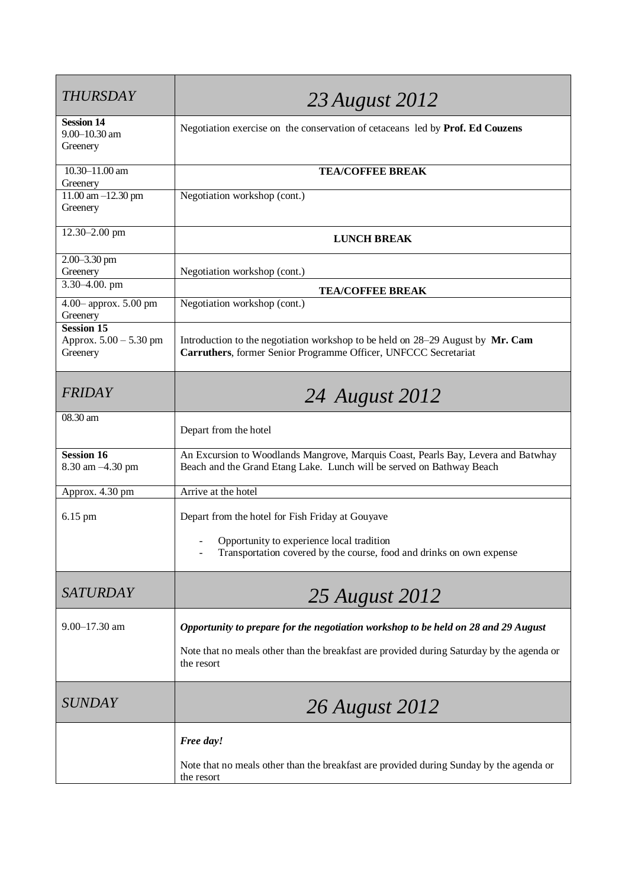| <b>THURSDAY</b>                                         | 23 August 2012                                                                                                                                             |
|---------------------------------------------------------|------------------------------------------------------------------------------------------------------------------------------------------------------------|
| <b>Session 14</b><br>$9.00 - 10.30$ am<br>Greenery      | Negotiation exercise on the conservation of cetaceans led by Prof. Ed Couzens                                                                              |
| 10.30-11.00 am<br>Greenery                              | <b>TEA/COFFEE BREAK</b>                                                                                                                                    |
| $11.00$ am $-12.30$ pm<br>Greenery                      | Negotiation workshop (cont.)                                                                                                                               |
| 12.30-2.00 pm                                           | <b>LUNCH BREAK</b>                                                                                                                                         |
| 2.00-3.30 pm<br>Greenery                                | Negotiation workshop (cont.)                                                                                                                               |
| $3.30 - 4.00$ . pm                                      | <b>TEA/COFFEE BREAK</b>                                                                                                                                    |
| 4.00-approx. 5.00 pm<br>Greenery                        | Negotiation workshop (cont.)                                                                                                                               |
| <b>Session 15</b><br>Approx. 5.00 - 5.30 pm<br>Greenery | Introduction to the negotiation workshop to be held on 28–29 August by Mr. Cam<br>Carruthers, former Senior Programme Officer, UNFCCC Secretariat          |
| <b>FRIDAY</b>                                           | 24 August 2012                                                                                                                                             |
| 08.30 am                                                | Depart from the hotel                                                                                                                                      |
| <b>Session 16</b><br>8.30 am -4.30 pm                   | An Excursion to Woodlands Mangrove, Marquis Coast, Pearls Bay, Levera and Batwhay<br>Beach and the Grand Etang Lake. Lunch will be served on Bathway Beach |
| Approx. 4.30 pm                                         | Arrive at the hotel                                                                                                                                        |
| 6.15 pm                                                 | Depart from the hotel for Fish Friday at Gouyave                                                                                                           |
|                                                         | Opportunity to experience local tradition<br>Transportation covered by the course, food and drinks on own expense                                          |
| <b>SATURDAY</b>                                         | 25 August 2012                                                                                                                                             |
| $9.00 - 17.30$ am                                       | Opportunity to prepare for the negotiation workshop to be held on 28 and 29 August                                                                         |
|                                                         | Note that no meals other than the breakfast are provided during Saturday by the agenda or<br>the resort                                                    |
| <b>SUNDAY</b>                                           | 26 August 2012                                                                                                                                             |
|                                                         | Free day!                                                                                                                                                  |
|                                                         | Note that no meals other than the breakfast are provided during Sunday by the agenda or<br>the resort                                                      |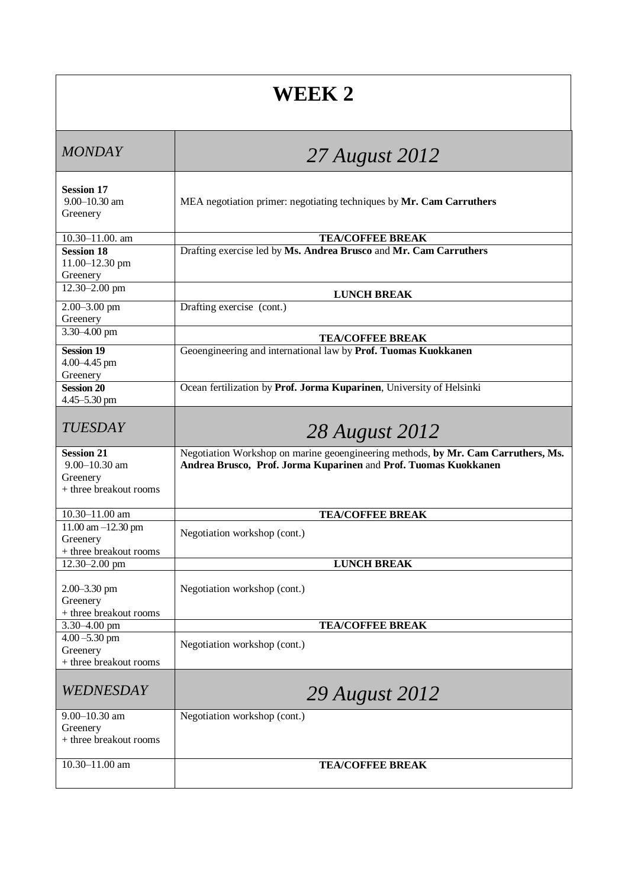| <b>WEEK 2</b>                                                                |                                                                                                                                                      |  |
|------------------------------------------------------------------------------|------------------------------------------------------------------------------------------------------------------------------------------------------|--|
| <b>MONDAY</b>                                                                | 27 August 2012                                                                                                                                       |  |
| <b>Session 17</b><br>$9.00 - 10.30$ am<br>Greenery                           | MEA negotiation primer: negotiating techniques by Mr. Cam Carruthers                                                                                 |  |
| 10.30-11.00. am<br><b>Session 18</b><br>11.00-12.30 pm<br>Greenery           | <b>TEA/COFFEE BREAK</b><br>Drafting exercise led by Ms. Andrea Brusco and Mr. Cam Carruthers                                                         |  |
| 12.30-2.00 pm                                                                | <b>LUNCH BREAK</b>                                                                                                                                   |  |
| 2.00-3.00 pm<br>Greenery                                                     | Drafting exercise (cont.)                                                                                                                            |  |
| 3.30-4.00 pm                                                                 | <b>TEA/COFFEE BREAK</b>                                                                                                                              |  |
| <b>Session 19</b><br>4.00-4.45 pm<br>Greenery                                | Geoengineering and international law by Prof. Tuomas Kuokkanen                                                                                       |  |
| <b>Session 20</b><br>4.45–5.30 pm                                            | Ocean fertilization by Prof. Jorma Kuparinen, University of Helsinki                                                                                 |  |
| <b>TUESDAY</b>                                                               | 28 August 2012                                                                                                                                       |  |
| <b>Session 21</b><br>$9.00 - 10.30$ am<br>Greenery<br>+ three breakout rooms | Negotiation Workshop on marine geoengineering methods, by Mr. Cam Carruthers, Ms.<br>Andrea Brusco, Prof. Jorma Kuparinen and Prof. Tuomas Kuokkanen |  |
| 10.30-11.00 am                                                               | <b>TEA/COFFEE BREAK</b>                                                                                                                              |  |
| $11.00$ am $-12.30$ pm<br>Greenery<br>+ three breakout rooms                 | Negotiation workshop (cont.)                                                                                                                         |  |
| 12.30-2.00 pm                                                                | <b>LUNCH BREAK</b>                                                                                                                                   |  |
| 2.00-3.30 pm<br>Greenery<br>+ three breakout rooms                           | Negotiation workshop (cont.)                                                                                                                         |  |
| 3.30-4.00 pm                                                                 | <b>TEA/COFFEE BREAK</b>                                                                                                                              |  |
| $4.00 - 5.30$ pm<br>Greenery<br>+ three breakout rooms                       | Negotiation workshop (cont.)                                                                                                                         |  |
| WEDNESDAY                                                                    | 29 August 2012                                                                                                                                       |  |
| 9.00-10.30 am<br>Greenery<br>+ three breakout rooms                          | Negotiation workshop (cont.)                                                                                                                         |  |
| $10.30 - 11.00$ am                                                           | <b>TEA/COFFEE BREAK</b>                                                                                                                              |  |